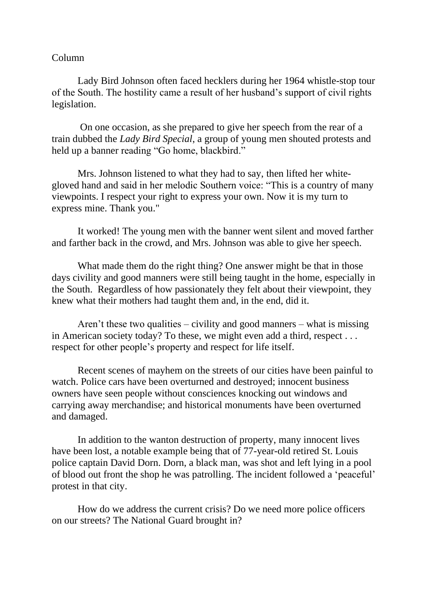## Column

Lady Bird Johnson often faced hecklers during her 1964 whistle-stop tour of the South. The hostility came a result of her husband's support of civil rights legislation.

On one occasion, as she prepared to give her speech from the rear of a train dubbed the *Lady Bird Special*, a group of young men shouted protests and held up a banner reading "Go home, blackbird."

Mrs. Johnson listened to what they had to say, then lifted her whitegloved hand and said in her melodic Southern voice: "This is a country of many viewpoints. I respect your right to express your own. Now it is my turn to express mine. Thank you."

It worked! The young men with the banner went silent and moved farther and farther back in the crowd, and Mrs. Johnson was able to give her speech.

What made them do the right thing? One answer might be that in those days civility and good manners were still being taught in the home, especially in the South. Regardless of how passionately they felt about their viewpoint, they knew what their mothers had taught them and, in the end, did it.

Aren't these two qualities – civility and good manners – what is missing in American society today? To these, we might even add a third, respect . . . respect for other people's property and respect for life itself.

Recent scenes of mayhem on the streets of our cities have been painful to watch. Police cars have been overturned and destroyed; innocent business owners have seen people without consciences knocking out windows and carrying away merchandise; and historical monuments have been overturned and damaged.

In addition to the wanton destruction of property, many innocent lives have been lost, a notable example being that of 77-year-old retired St. Louis police captain David Dorn. Dorn, a black man, was shot and left lying in a pool of blood out front the shop he was patrolling. The incident followed a 'peaceful' protest in that city.

How do we address the current crisis? Do we need more police officers on our streets? The National Guard brought in?